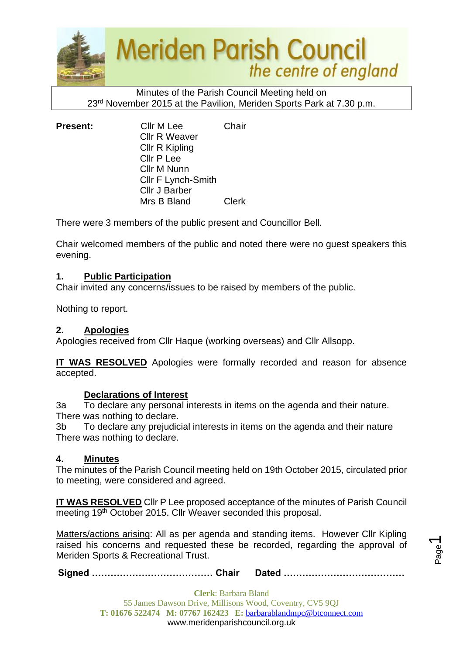

Minutes of the Parish Council Meeting held on 23<sup>rd</sup> November 2015 at the Pavilion, Meriden Sports Park at 7.30 p.m.

| <b>Present:</b> | Cllr M Lee                | Chair        |
|-----------------|---------------------------|--------------|
|                 | <b>Cllr R Weaver</b>      |              |
|                 | Cllr R Kipling            |              |
|                 | Cllr P Lee                |              |
|                 | Cllr M Nunn               |              |
|                 | <b>CIIr F Lynch-Smith</b> |              |
|                 | <b>Cllr J Barber</b>      |              |
|                 | Mrs B Bland               | <b>Clerk</b> |

There were 3 members of the public present and Councillor Bell.

Chair welcomed members of the public and noted there were no guest speakers this evening.

#### **1. Public Participation**

Chair invited any concerns/issues to be raised by members of the public.

Nothing to report.

#### **2. Apologies**

Apologies received from Cllr Haque (working overseas) and Cllr Allsopp.

**IT WAS RESOLVED** Apologies were formally recorded and reason for absence accepted.

#### **Declarations of Interest**

3a To declare any personal interests in items on the agenda and their nature. There was nothing to declare.

3b To declare any prejudicial interests in items on the agenda and their nature There was nothing to declare.

#### **4. Minutes**

The minutes of the Parish Council meeting held on 19th October 2015, circulated prior to meeting, were considered and agreed.

**IT WAS RESOLVED** Cllr P Lee proposed acceptance of the minutes of Parish Council meeting 19<sup>th</sup> October 2015. Cllr Weaver seconded this proposal.

Matters/actions arising: All as per agenda and standing items. However Cllr Kipling raised his concerns and requested these be recorded, regarding the approval of Meriden Sports & Recreational Trust.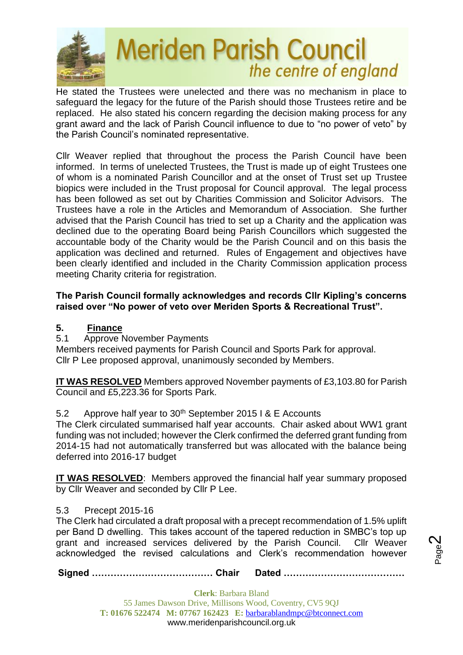

He stated the Trustees were unelected and there was no mechanism in place to safeguard the legacy for the future of the Parish should those Trustees retire and be replaced. He also stated his concern regarding the decision making process for any grant award and the lack of Parish Council influence to due to "no power of veto" by the Parish Council's nominated representative.

Cllr Weaver replied that throughout the process the Parish Council have been informed. In terms of unelected Trustees, the Trust is made up of eight Trustees one of whom is a nominated Parish Councillor and at the onset of Trust set up Trustee biopics were included in the Trust proposal for Council approval. The legal process has been followed as set out by Charities Commission and Solicitor Advisors. The Trustees have a role in the Articles and Memorandum of Association. She further advised that the Parish Council has tried to set up a Charity and the application was declined due to the operating Board being Parish Councillors which suggested the accountable body of the Charity would be the Parish Council and on this basis the application was declined and returned. Rules of Engagement and objectives have been clearly identified and included in the Charity Commission application process meeting Charity criteria for registration.

## **The Parish Council formally acknowledges and records Cllr Kipling's concerns raised over "No power of veto over Meriden Sports & Recreational Trust".**

# **5. Finance**

5.1 Approve November Payments

Members received payments for Parish Council and Sports Park for approval. Cllr P Lee proposed approval, unanimously seconded by Members.

**IT WAS RESOLVED** Members approved November payments of £3,103.80 for Parish Council and £5,223.36 for Sports Park.

# 5.2 Approve half year to  $30<sup>th</sup>$  September 2015 I & E Accounts

The Clerk circulated summarised half year accounts. Chair asked about WW1 grant funding was not included; however the Clerk confirmed the deferred grant funding from 2014-15 had not automatically transferred but was allocated with the balance being deferred into 2016-17 budget

**IT WAS RESOLVED**: Members approved the financial half year summary proposed by Cllr Weaver and seconded by Cllr P Lee.

# 5.3 Precept 2015-16

The Clerk had circulated a draft proposal with a precept recommendation of 1.5% uplift per Band D dwelling. This takes account of the tapered reduction in SMBC's top up grant and increased services delivered by the Parish Council. Cllr Weaver acknowledged the revised calculations and Clerk's recommendation however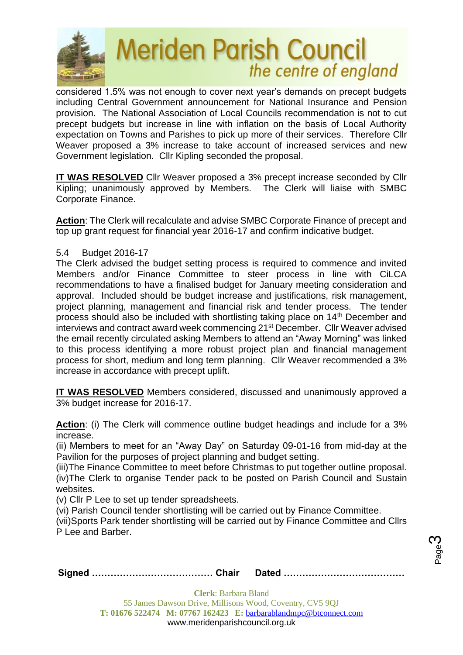

considered 1.5% was not enough to cover next year's demands on precept budgets including Central Government announcement for National Insurance and Pension provision. The National Association of Local Councils recommendation is not to cut precept budgets but increase in line with inflation on the basis of Local Authority expectation on Towns and Parishes to pick up more of their services. Therefore Cllr Weaver proposed a 3% increase to take account of increased services and new Government legislation. Cllr Kipling seconded the proposal.

**IT WAS RESOLVED** Cllr Weaver proposed a 3% precept increase seconded by Cllr Kipling; unanimously approved by Members. The Clerk will liaise with SMBC Corporate Finance.

**Action**: The Clerk will recalculate and advise SMBC Corporate Finance of precept and top up grant request for financial year 2016-17 and confirm indicative budget.

#### 5.4 Budget 2016-17

The Clerk advised the budget setting process is required to commence and invited Members and/or Finance Committee to steer process in line with CiLCA recommendations to have a finalised budget for January meeting consideration and approval. Included should be budget increase and justifications, risk management, project planning, management and financial risk and tender process. The tender process should also be included with shortlisting taking place on 14th December and interviews and contract award week commencing 21st December. Cllr Weaver advised the email recently circulated asking Members to attend an "Away Morning" was linked to this process identifying a more robust project plan and financial management process for short, medium and long term planning. Cllr Weaver recommended a 3% increase in accordance with precept uplift.

**IT WAS RESOLVED** Members considered, discussed and unanimously approved a 3% budget increase for 2016-17.

**Action**: (i) The Clerk will commence outline budget headings and include for a 3% increase.

(ii) Members to meet for an "Away Day" on Saturday 09-01-16 from mid-day at the Pavilion for the purposes of project planning and budget setting.

(iii)The Finance Committee to meet before Christmas to put together outline proposal. (iv)The Clerk to organise Tender pack to be posted on Parish Council and Sustain websites.

(v) Cllr P Lee to set up tender spreadsheets.

(vi) Parish Council tender shortlisting will be carried out by Finance Committee.

(vii)Sports Park tender shortlisting will be carried out by Finance Committee and Cllrs P Lee and Barber.

|--|--|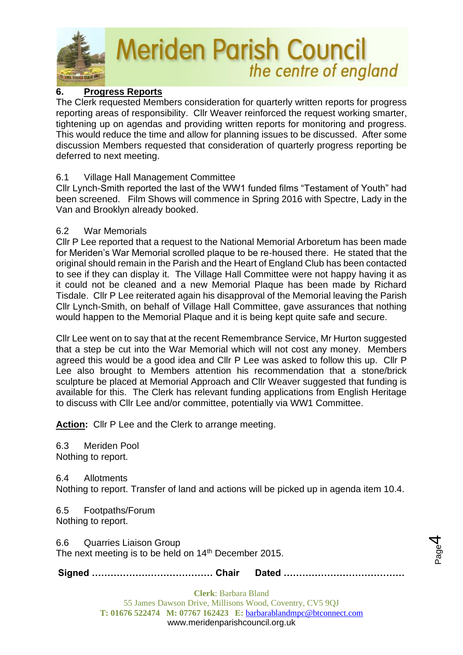

# **6. Progress Reports**

The Clerk requested Members consideration for quarterly written reports for progress reporting areas of responsibility. Cllr Weaver reinforced the request working smarter, tightening up on agendas and providing written reports for monitoring and progress. This would reduce the time and allow for planning issues to be discussed. After some discussion Members requested that consideration of quarterly progress reporting be deferred to next meeting.

## 6.1 Village Hall Management Committee

Cllr Lynch-Smith reported the last of the WW1 funded films "Testament of Youth" had been screened. Film Shows will commence in Spring 2016 with Spectre, Lady in the Van and Brooklyn already booked.

## 6.2 War Memorials

Cllr P Lee reported that a request to the National Memorial Arboretum has been made for Meriden's War Memorial scrolled plaque to be re-housed there. He stated that the original should remain in the Parish and the Heart of England Club has been contacted to see if they can display it. The Village Hall Committee were not happy having it as it could not be cleaned and a new Memorial Plaque has been made by Richard Tisdale. Cllr P Lee reiterated again his disapproval of the Memorial leaving the Parish Cllr Lynch-Smith, on behalf of Village Hall Committee, gave assurances that nothing would happen to the Memorial Plaque and it is being kept quite safe and secure.

Cllr Lee went on to say that at the recent Remembrance Service, Mr Hurton suggested that a step be cut into the War Memorial which will not cost any money. Members agreed this would be a good idea and Cllr P Lee was asked to follow this up. Cllr P Lee also brought to Members attention his recommendation that a stone/brick sculpture be placed at Memorial Approach and Cllr Weaver suggested that funding is available for this. The Clerk has relevant funding applications from English Heritage to discuss with Cllr Lee and/or committee, potentially via WW1 Committee.

**Action:** Cllr P Lee and the Clerk to arrange meeting.

6.3 Meriden Pool Nothing to report.

6.4 Allotments

Nothing to report. Transfer of land and actions will be picked up in agenda item 10.4.

6.5 Footpaths/Forum Nothing to report.

6.6 Quarries Liaison Group The next meeting is to be held on 14<sup>th</sup> December 2015.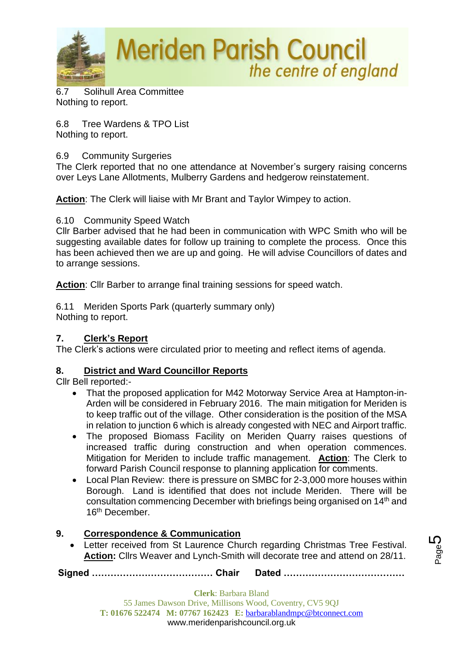

6.7 Solihull Area Committee Nothing to report.

6.8 Tree Wardens & TPO List Nothing to report.

## 6.9 Community Surgeries

The Clerk reported that no one attendance at November's surgery raising concerns over Leys Lane Allotments, Mulberry Gardens and hedgerow reinstatement.

**Action**: The Clerk will liaise with Mr Brant and Taylor Wimpey to action.

6.10 Community Speed Watch

Cllr Barber advised that he had been in communication with WPC Smith who will be suggesting available dates for follow up training to complete the process. Once this has been achieved then we are up and going. He will advise Councillors of dates and to arrange sessions.

**Action**: Cllr Barber to arrange final training sessions for speed watch.

6.11 Meriden Sports Park (quarterly summary only) Nothing to report.

# **7. Clerk's Report**

The Clerk's actions were circulated prior to meeting and reflect items of agenda.

# **8. District and Ward Councillor Reports**

Cllr Bell reported:-

- That the proposed application for M42 Motorway Service Area at Hampton-in-Arden will be considered in February 2016. The main mitigation for Meriden is to keep traffic out of the village. Other consideration is the position of the MSA in relation to junction 6 which is already congested with NEC and Airport traffic.
- The proposed Biomass Facility on Meriden Quarry raises questions of increased traffic during construction and when operation commences. Mitigation for Meriden to include traffic management. **Action**: The Clerk to forward Parish Council response to planning application for comments.
- Local Plan Review: there is pressure on SMBC for 2-3,000 more houses within Borough. Land is identified that does not include Meriden. There will be consultation commencing December with briefings being organised on 14th and 16<sup>th</sup> December.

# **9. Correspondence & Communication**

• Letter received from St Laurence Church regarding Christmas Tree Festival. **Action:** Cllrs Weaver and Lynch-Smith will decorate tree and attend on 28/11.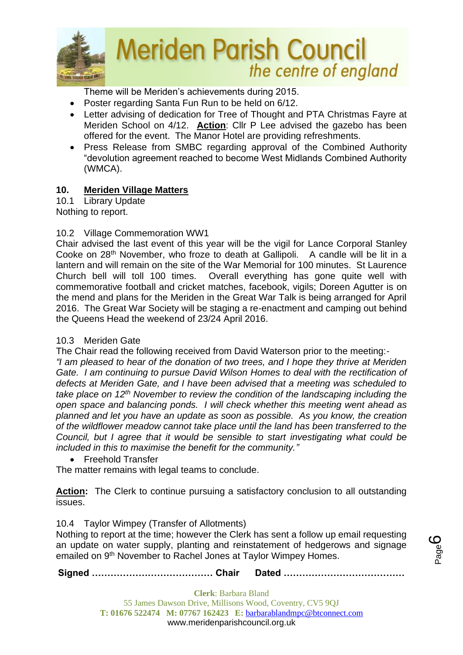

Theme will be Meriden's achievements during 2015.

- Poster regarding Santa Fun Run to be held on 6/12.
- Letter advising of dedication for Tree of Thought and PTA Christmas Fayre at Meriden School on 4/12. **Action**: Cllr P Lee advised the gazebo has been offered for the event. The Manor Hotel are providing refreshments.
- Press Release from SMBC regarding approval of the Combined Authority "devolution agreement reached to become West Midlands Combined Authority (WMCA).

## **10. Meriden Village Matters**

10.1 Library Update

Nothing to report.

## 10.2 Village Commemoration WW1

Chair advised the last event of this year will be the vigil for Lance Corporal Stanley Cooke on 28th November, who froze to death at Gallipoli. A candle will be lit in a lantern and will remain on the site of the War Memorial for 100 minutes. St Laurence Church bell will toll 100 times. Overall everything has gone quite well with commemorative football and cricket matches, facebook, vigils; Doreen Agutter is on the mend and plans for the Meriden in the Great War Talk is being arranged for April 2016. The Great War Society will be staging a re-enactment and camping out behind the Queens Head the weekend of 23/24 April 2016.

#### 10.3 Meriden Gate

The Chair read the following received from David Waterson prior to the meeting:-

*"I am pleased to hear of the donation of two trees, and I hope they thrive at Meriden Gate. I am continuing to pursue David Wilson Homes to deal with the rectification of defects at Meriden Gate, and I have been advised that a meeting was scheduled to take place on 12th November to review the condition of the landscaping including the open space and balancing ponds. I will check whether this meeting went ahead as planned and let you have an update as soon as possible. As you know, the creation of the wildflower meadow cannot take place until the land has been transferred to the Council, but I agree that it would be sensible to start investigating what could be included in this to maximise the benefit for the community."*

• Freehold Transfer

The matter remains with legal teams to conclude.

**Action:** The Clerk to continue pursuing a satisfactory conclusion to all outstanding issues.

# 10.4 Taylor Wimpey (Transfer of Allotments)

Nothing to report at the time; however the Clerk has sent a follow up email requesting an update on water supply, planting and reinstatement of hedgerows and signage emailed on 9<sup>th</sup> November to Rachel Jones at Taylor Wimpey Homes.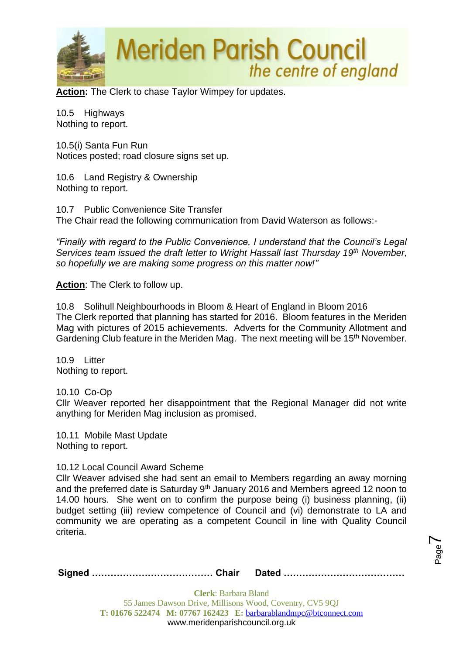

**Action:** The Clerk to chase Taylor Wimpey for updates.

10.5 Highways Nothing to report.

10.5(i) Santa Fun Run Notices posted; road closure signs set up.

10.6 Land Registry & Ownership Nothing to report.

10.7 Public Convenience Site Transfer The Chair read the following communication from David Waterson as follows:-

*"Finally with regard to the Public Convenience, I understand that the Council's Legal Services team issued the draft letter to Wright Hassall last Thursday 19th November, so hopefully we are making some progress on this matter now!"*

**Action**: The Clerk to follow up.

10.8 Solihull Neighbourhoods in Bloom & Heart of England in Bloom 2016 The Clerk reported that planning has started for 2016. Bloom features in the Meriden Mag with pictures of 2015 achievements. Adverts for the Community Allotment and Gardening Club feature in the Meriden Mag. The next meeting will be 15<sup>th</sup> November.

10.9 Litter Nothing to report.

10.10 Co-Op

Cllr Weaver reported her disappointment that the Regional Manager did not write anything for Meriden Mag inclusion as promised.

10.11 Mobile Mast Update Nothing to report.

#### 10.12 Local Council Award Scheme

Cllr Weaver advised she had sent an email to Members regarding an away morning and the preferred date is Saturday  $9<sup>th</sup>$  January 2016 and Members agreed 12 noon to 14.00 hours. She went on to confirm the purpose being (i) business planning, (ii) budget setting (iii) review competence of Council and (vi) demonstrate to LA and community we are operating as a competent Council in line with Quality Council criteria.

**Signed ………………………………… Chair Dated …………………………………**

Page  $\blacktriangleright$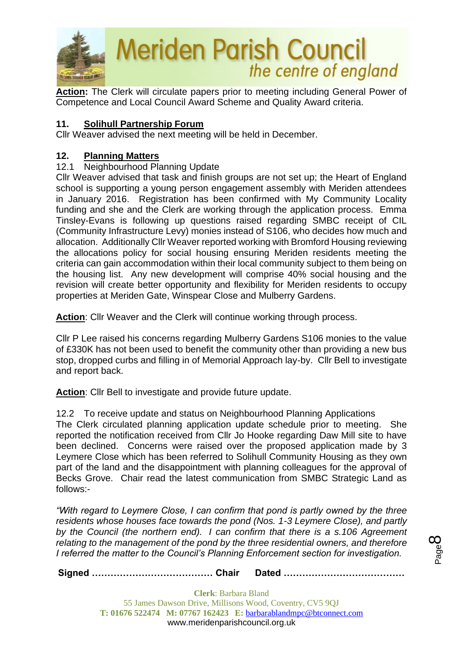

**Action:** The Clerk will circulate papers prior to meeting including General Power of Competence and Local Council Award Scheme and Quality Award criteria.

## **11. Solihull Partnership Forum**

Cllr Weaver advised the next meeting will be held in December.

#### **12. Planning Matters**

## 12.1 Neighbourhood Planning Update

Cllr Weaver advised that task and finish groups are not set up; the Heart of England school is supporting a young person engagement assembly with Meriden attendees in January 2016. Registration has been confirmed with My Community Locality funding and she and the Clerk are working through the application process. Emma Tinsley-Evans is following up questions raised regarding SMBC receipt of CIL (Community Infrastructure Levy) monies instead of S106, who decides how much and allocation. Additionally Cllr Weaver reported working with Bromford Housing reviewing the allocations policy for social housing ensuring Meriden residents meeting the criteria can gain accommodation within their local community subject to them being on the housing list. Any new development will comprise 40% social housing and the revision will create better opportunity and flexibility for Meriden residents to occupy properties at Meriden Gate, Winspear Close and Mulberry Gardens.

**Action**: Cllr Weaver and the Clerk will continue working through process.

Cllr P Lee raised his concerns regarding Mulberry Gardens S106 monies to the value of £330K has not been used to benefit the community other than providing a new bus stop, dropped curbs and filling in of Memorial Approach lay-by. Cllr Bell to investigate and report back.

**Action**: Cllr Bell to investigate and provide future update.

12.2 To receive update and status on Neighbourhood Planning Applications

The Clerk circulated planning application update schedule prior to meeting. She reported the notification received from Cllr Jo Hooke regarding Daw Mill site to have been declined. Concerns were raised over the proposed application made by 3 Leymere Close which has been referred to Solihull Community Housing as they own part of the land and the disappointment with planning colleagues for the approval of Becks Grove. Chair read the latest communication from SMBC Strategic Land as follows:-

*"With regard to Leymere Close, I can confirm that pond is partly owned by the three residents whose houses face towards the pond (Nos. 1-3 Leymere Close), and partly by the Council (the northern end). I can confirm that there is a s.106 Agreement relating to the management of the pond by the three residential owners, and therefore I referred the matter to the Council's Planning Enforcement section for investigation.*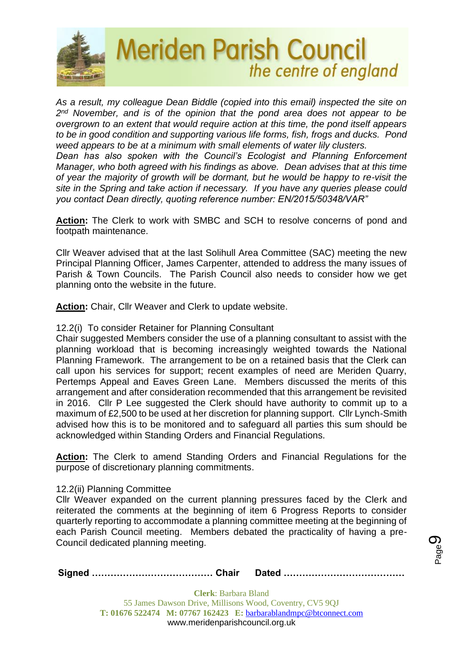

*As a result, my colleague Dean Biddle (copied into this email) inspected the site on 2 nd November, and is of the opinion that the pond area does not appear to be overgrown to an extent that would require action at this time, the pond itself appears to be in good condition and supporting various life forms, fish, frogs and ducks. Pond weed appears to be at a minimum with small elements of water lily clusters.*

*Dean has also spoken with the Council's Ecologist and Planning Enforcement Manager, who both agreed with his findings as above. Dean advises that at this time of year the majority of growth will be dormant, but he would be happy to re-visit the site in the Spring and take action if necessary. If you have any queries please could you contact Dean directly, quoting reference number: EN/2015/50348/VAR"*

**Action:** The Clerk to work with SMBC and SCH to resolve concerns of pond and footpath maintenance.

Cllr Weaver advised that at the last Solihull Area Committee (SAC) meeting the new Principal Planning Officer, James Carpenter, attended to address the many issues of Parish & Town Councils. The Parish Council also needs to consider how we get planning onto the website in the future.

**Action:** Chair, Cllr Weaver and Clerk to update website.

#### 12.2(i) To consider Retainer for Planning Consultant

Chair suggested Members consider the use of a planning consultant to assist with the planning workload that is becoming increasingly weighted towards the National Planning Framework. The arrangement to be on a retained basis that the Clerk can call upon his services for support; recent examples of need are Meriden Quarry, Pertemps Appeal and Eaves Green Lane. Members discussed the merits of this arrangement and after consideration recommended that this arrangement be revisited in 2016. Cllr P Lee suggested the Clerk should have authority to commit up to a maximum of £2,500 to be used at her discretion for planning support. Cllr Lynch-Smith advised how this is to be monitored and to safeguard all parties this sum should be acknowledged within Standing Orders and Financial Regulations.

**Action:** The Clerk to amend Standing Orders and Financial Regulations for the purpose of discretionary planning commitments.

#### 12.2(ii) Planning Committee

Cllr Weaver expanded on the current planning pressures faced by the Clerk and reiterated the comments at the beginning of item 6 Progress Reports to consider quarterly reporting to accommodate a planning committee meeting at the beginning of each Parish Council meeting. Members debated the practicality of having a pre-Council dedicated planning meeting.

**Signed ………………………………… Chair Dated …………………………………**

Page ග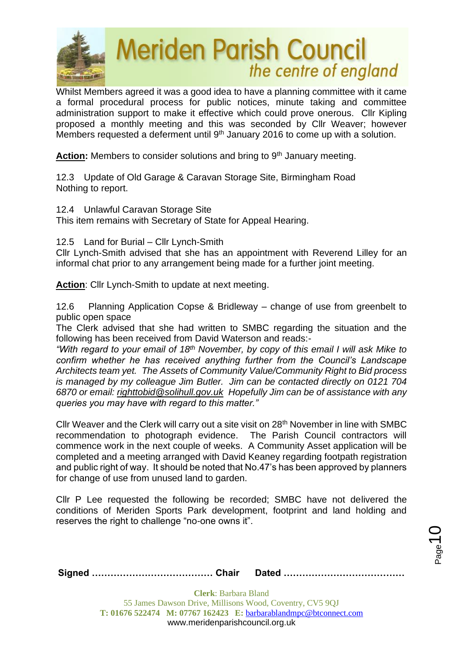

Whilst Members agreed it was a good idea to have a planning committee with it came a formal procedural process for public notices, minute taking and committee administration support to make it effective which could prove onerous. Cllr Kipling proposed a monthly meeting and this was seconded by Cllr Weaver; however Members requested a deferment until  $9<sup>th</sup>$  January 2016 to come up with a solution.

Action: Members to consider solutions and bring to 9<sup>th</sup> January meeting.

12.3 Update of Old Garage & Caravan Storage Site, Birmingham Road Nothing to report.

12.4 Unlawful Caravan Storage Site

This item remains with Secretary of State for Appeal Hearing.

#### 12.5 Land for Burial – Cllr Lynch-Smith

Cllr Lynch-Smith advised that she has an appointment with Reverend Lilley for an informal chat prior to any arrangement being made for a further joint meeting.

**Action**: Cllr Lynch-Smith to update at next meeting.

12.6 Planning Application Copse & Bridleway – change of use from greenbelt to public open space

The Clerk advised that she had written to SMBC regarding the situation and the following has been received from David Waterson and reads:-

*"With regard to your email of 18th November, by copy of this email I will ask Mike to confirm whether he has received anything further from the Council's Landscape Architects team yet. The Assets of Community Value/Community Right to Bid process is managed by my colleague Jim Butler. Jim can be contacted directly on 0121 704 6870 or email: [righttobid@solihull.gov.uk](mailto:righttobid@solihull.gov.uk) Hopefully Jim can be of assistance with any queries you may have with regard to this matter."*

Cllr Weaver and the Clerk will carry out a site visit on 28<sup>th</sup> November in line with SMBC recommendation to photograph evidence. The Parish Council contractors will commence work in the next couple of weeks. A Community Asset application will be completed and a meeting arranged with David Keaney regarding footpath registration and public right of way. It should be noted that No.47's has been approved by planners for change of use from unused land to garden.

Cllr P Lee requested the following be recorded; SMBC have not delivered the conditions of Meriden Sports Park development, footprint and land holding and reserves the right to challenge "no-one owns it".

 $_{\mathrm{Page}}$ 10

**Signed ………………………………… Chair Dated …………………………………**